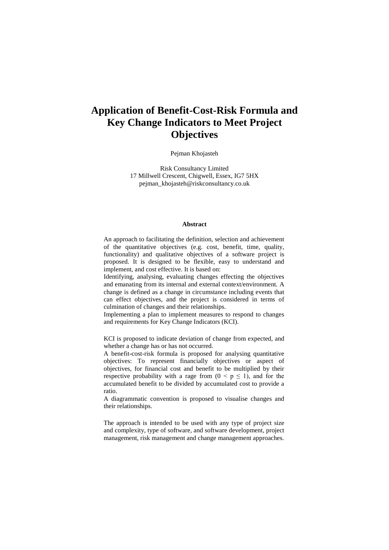# **Application of Benefit-Cost-Risk Formula and Key Change Indicators to Meet Project Objectives**

Pejman Khojasteh

Risk Consultancy Limited 17 Millwell Crescent, Chigwell, Essex, IG7 5HX pejman\_khojasteh@riskconsultancy.co.uk

#### **Abstract**

An approach to facilitating the definition, selection and achievement of the quantitative objectives (e.g. cost, benefit, time, quality, functionality) and qualitative objectives of a software project is proposed. It is designed to be flexible, easy to understand and implement, and cost effective. It is based on:

Identifying, analysing, evaluating changes effecting the objectives and emanating from its internal and external context/environment. A change is defined as a change in circumstance including events that can effect objectives, and the project is considered in terms of culmination of changes and their relationships.

Implementing a plan to implement measures to respond to changes and requirements for Key Change Indicators (KCI).

KCI is proposed to indicate deviation of change from expected, and whether a change has or has not occurred.

A benefit-cost-risk formula is proposed for analysing quantitative objectives: To represent financially objectives or aspect of objectives, for financial cost and benefit to be multiplied by their respective probability with a rage from  $(0 \le p \le 1)$ , and for the accumulated benefit to be divided by accumulated cost to provide a ratio.

A diagrammatic convention is proposed to visualise changes and their relationships.

The approach is intended to be used with any type of project size and complexity, type of software, and software development, project management, risk management and change management approaches.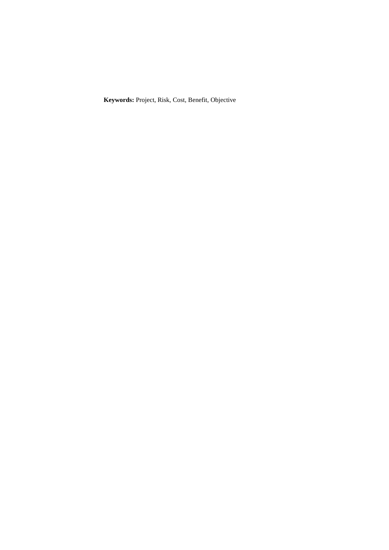**Keywords:** Project, Risk, Cost, Benefit, Objective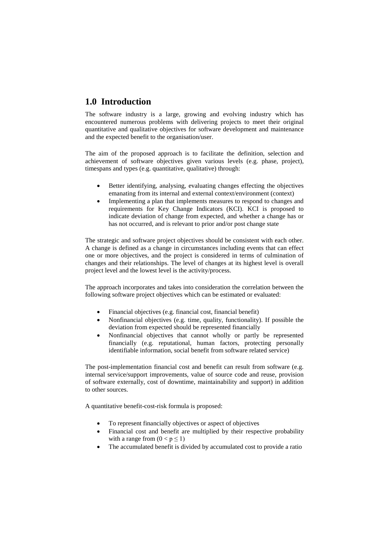# **1.0 Introduction**

The software industry is a large, growing and evolving industry which has encountered numerous problems with delivering projects to meet their original quantitative and qualitative objectives for software development and maintenance and the expected benefit to the organisation/user.

The aim of the proposed approach is to facilitate the definition, selection and achievement of software objectives given various levels (e.g. phase, project), timespans and types (e.g. quantitative, qualitative) through:

- Better identifying, analysing, evaluating changes effecting the objectives emanating from its internal and external context/environment (context)
- Implementing a plan that implements measures to respond to changes and requirements for Key Change Indicators (KCI). KCI is proposed to indicate deviation of change from expected, and whether a change has or has not occurred, and is relevant to prior and/or post change state

The strategic and software project objectives should be consistent with each other. A change is defined as a change in circumstances including events that can effect one or more objectives, and the project is considered in terms of culmination of changes and their relationships. The level of changes at its highest level is overall project level and the lowest level is the activity/process.

The approach incorporates and takes into consideration the correlation between the following software project objectives which can be estimated or evaluated:

- Financial objectives (e.g. financial cost, financial benefit)
- Nonfinancial objectives (e.g. time, quality, functionality). If possible the deviation from expected should be represented financially
- Nonfinancial objectives that cannot wholly or partly be represented financially (e.g. reputational, human factors, protecting personally identifiable information, social benefit from software related service)

The post-implementation financial cost and benefit can result from software (e.g. internal service/support improvements, value of source code and reuse, provision of software externally, cost of downtime, maintainability and support) in addition to other sources.

A quantitative benefit-cost-risk formula is proposed:

- To represent financially objectives or aspect of objectives
- Financial cost and benefit are multiplied by their respective probability with a range from  $(0 < p \le 1)$
- The accumulated benefit is divided by accumulated cost to provide a ratio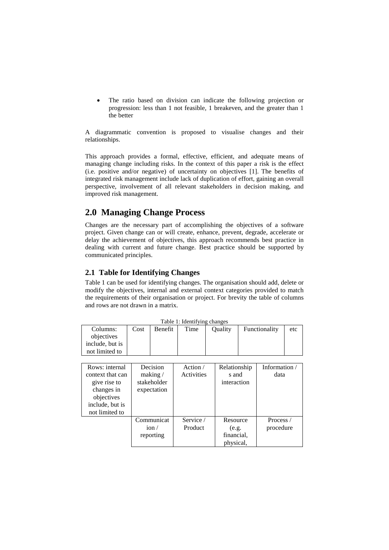The ratio based on division can indicate the following projection or progression: less than 1 not feasible, 1 breakeven, and the greater than 1 the better

A diagrammatic convention is proposed to visualise changes and their relationships.

This approach provides a formal, effective, efficient, and adequate means of managing change including risks. In the context of this paper a risk is the effect (i.e. positive and/or negative) of uncertainty on objectives [1]. The benefits of integrated risk management include lack of duplication of effort, gaining an overall perspective, involvement of all relevant stakeholders in decision making, and improved risk management.

# **2.0 Managing Change Process**

Changes are the necessary part of accomplishing the objectives of a software project. Given change can or will create, enhance, prevent, degrade, accelerate or delay the achievement of objectives, this approach recommends best practice in dealing with current and future change. Best practice should be supported by communicated principles.

### **2.1 Table for Identifying Changes**

Table 1 can be used for identifying changes. The organisation should add, delete or modify the objectives, internal and external context categories provided to match the requirements of their organisation or project. For brevity the table of columns and rows are not drawn in a matrix.

| rable 1: Identifying changes |      |         |      |         |               |     |  |  |  |
|------------------------------|------|---------|------|---------|---------------|-----|--|--|--|
| Columns:                     | Cost | Benefit | Time | Ouality | Functionality | etc |  |  |  |
| objectives                   |      |         |      |         |               |     |  |  |  |
| include, but is              |      |         |      |         |               |     |  |  |  |
| not limited to               |      |         |      |         |               |     |  |  |  |
|                              |      |         |      |         |               |     |  |  |  |

Table 1: Identifying changes

| Rows: internal   | Decision    | Action /   | Relationship | Information / |
|------------------|-------------|------------|--------------|---------------|
| context that can | making $/$  | Activities | s and        | data          |
| give rise to     | stakeholder |            | interaction  |               |
| changes in       | expectation |            |              |               |
| objectives       |             |            |              |               |
| include, but is  |             |            |              |               |
| not limited to   |             |            |              |               |
|                  | Communicat  | Service /  | Resource     | Process /     |
|                  | ion/        | Product    | (e.g.        | procedure     |
|                  | reporting   |            | financial,   |               |
|                  |             |            | physical,    |               |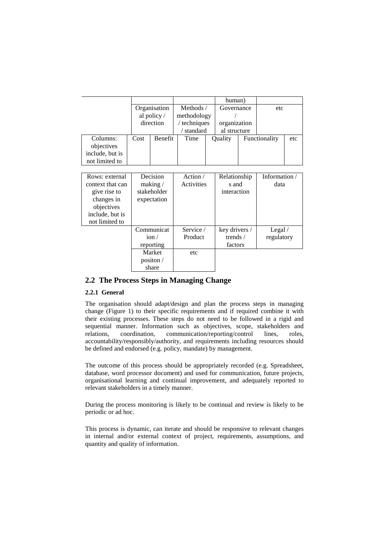|                  |            |                         |              |  | human)            |               |               |     |
|------------------|------------|-------------------------|--------------|--|-------------------|---------------|---------------|-----|
|                  |            | Organisation            | Methods /    |  | Governance        |               | etc           |     |
|                  |            | al policy /             | methodology  |  |                   |               |               |     |
|                  |            | direction               | / techniques |  | organization      |               |               |     |
|                  |            |                         | / standard   |  | al structure      |               |               |     |
| Columns:         | Cost       | Benefit                 | Time         |  | Quality           | Functionality |               | etc |
| objectives       |            |                         |              |  |                   |               |               |     |
| include, but is  |            |                         |              |  |                   |               |               |     |
| not limited to   |            |                         |              |  |                   |               |               |     |
|                  |            |                         |              |  |                   |               |               |     |
| Rows: external   | Decision   |                         | Action $/$   |  | Relationship      |               | Information / |     |
| context that can | making $/$ |                         | Activities   |  | s and             |               | data          |     |
| give rise to     |            | stakeholder             |              |  | interaction       |               |               |     |
| changes in       |            | expectation             |              |  |                   |               |               |     |
| objectives       |            |                         |              |  |                   |               |               |     |
| include, but is  |            |                         |              |  |                   |               |               |     |
| not limited to   |            |                         |              |  |                   |               |               |     |
|                  |            | Communicat              | Service /    |  | key drivers /     |               | Legal $/$     |     |
|                  |            | ion/                    | Product      |  | trends $\sqrt{ }$ |               | regulatory    |     |
|                  |            | reporting               |              |  | factors           |               |               |     |
|                  |            | Market                  | etc          |  |                   |               |               |     |
|                  |            | positon $\overline{\ }$ |              |  |                   |               |               |     |
|                  |            | share                   |              |  |                   |               |               |     |

### **2.2 The Process Steps in Managing Change**

#### **2.2.1 General**

The organisation should adapt/design and plan the process steps in managing change (Figure 1) to their specific requirements and if required combine it with their existing processes. These steps do not need to be followed in a rigid and sequential manner. Information such as objectives, scope, stakeholders and relations, coordination, communication/reporting/control lines, roles, accountability/responsibly/authority, and requirements including resources should be defined and endorsed (e.g. policy, mandate) by management.

The outcome of this process should be appropriately recorded (e.g. Spreadsheet, database, word processor document) and used for communication, future projects, organisational learning and continual improvement, and adequately reported to relevant stakeholders in a timely manner.

During the process monitoring is likely to be continual and review is likely to be periodic or ad hoc.

This process is dynamic, can iterate and should be responsive to relevant changes in internal and/or external context of project, requirements, assumptions, and quantity and quality of information.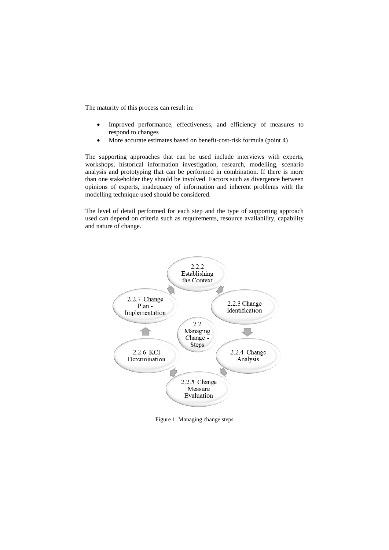The maturity of this process can result in:

- Improved performance, effectiveness, and efficiency of measures to respond to changes
- More accurate estimates based on benefit-cost-risk formula (point 4)

The supporting approaches that can be used include interviews with experts, workshops, historical information investigation, research, modelling, scenario analysis and prototyping that can be performed in combination. If there is more than one stakeholder they should be involved. Factors such as divergence between opinions of experts, inadequacy of information and inherent problems with the modelling technique used should be considered.

The level of detail performed for each step and the type of supporting approach used can depend on criteria such as requirements, resource availability, capability and nature of change.



Figure 1: Managing change steps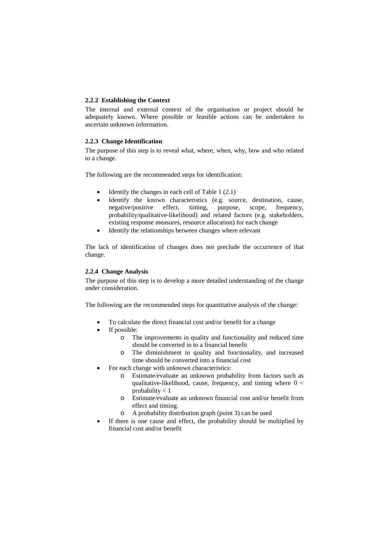#### **2.2.2 Establishing the Context**

The internal and external context of the organisation or project should be adequately known. Where possible or feasible actions can be undertaken to ascertain unknown information.

#### **2.2.3 Change Identification**

The purpose of this step is to reveal what, where, when, why, how and who related to a change.

The following are the recommended steps for identification:

- Identify the changes in each cell of Table  $1(2.1)$
- Identify the known characteristics (e.g. source, destination, cause, negative/positive effect, timing, purpose, scope, frequency, probability/qualitative-likelihood) and related factors (e.g. stakeholders, existing response measures, resource allocation) for each change
- Identify the relationships between changes where relevant

The lack of identification of changes does not preclude the occurrence of that change.

#### **2.2.4 Change Analysis**

The purpose of this step is to develop a more detailed understanding of the change under consideration.

The following are the recommended steps for quantitative analysis of the change:

- To calculate the direct financial cost and/or benefit for a change
- If possible:
	- o The improvements in quality and functionality and reduced time should be converted in to a financial benefit
	- o The diminishment in quality and functionality, and increased time should be converted into a financial cost
- For each change with unknown characteristics:
	- o Estimate/evaluate an unknown probability from factors such as qualitative-likelihood, cause, frequency, and timing where  $0 <$ probability < 1
	- o Estimate/evaluate an unknown financial cost and/or benefit from effect and timing.
	- o A probability distribution graph (point 3) can be used
- If there is one cause and effect, the probability should be multiplied by financial cost and/or benefit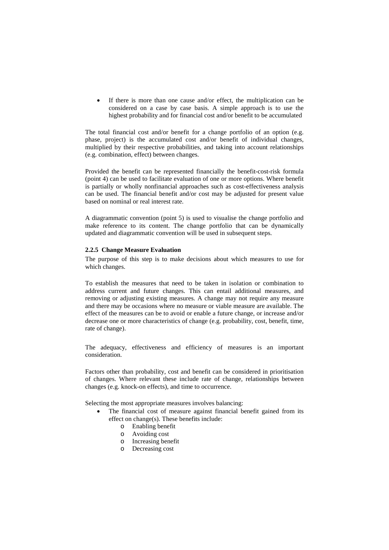If there is more than one cause and/or effect, the multiplication can be considered on a case by case basis. A simple approach is to use the highest probability and for financial cost and/or benefit to be accumulated

The total financial cost and/or benefit for a change portfolio of an option (e.g. phase, project) is the accumulated cost and/or benefit of individual changes, multiplied by their respective probabilities, and taking into account relationships (e.g. combination, effect) between changes.

Provided the benefit can be represented financially the benefit-cost-risk formula (point 4) can be used to facilitate evaluation of one or more options. Where benefit is partially or wholly nonfinancial approaches such as cost-effectiveness analysis can be used. The financial benefit and/or cost may be adjusted for present value based on nominal or real interest rate.

A diagrammatic convention (point 5) is used to visualise the change portfolio and make reference to its content. The change portfolio that can be dynamically updated and diagrammatic convention will be used in subsequent steps.

#### **2.2.5 Change Measure Evaluation**

The purpose of this step is to make decisions about which measures to use for which changes.

To establish the measures that need to be taken in isolation or combination to address current and future changes. This can entail additional measures, and removing or adjusting existing measures. A change may not require any measure and there may be occasions where no measure or viable measure are available. The effect of the measures can be to avoid or enable a future change, or increase and/or decrease one or more characteristics of change (e.g. probability, cost, benefit, time, rate of change).

The adequacy, effectiveness and efficiency of measures is an important consideration.

Factors other than probability, cost and benefit can be considered in prioritisation of changes. Where relevant these include rate of change, relationships between changes (e.g. knock-on effects), and time to occurrence.

Selecting the most appropriate measures involves balancing:

- The financial cost of measure against financial benefit gained from its effect on change(s). These benefits include:
	- o Enabling benefit
	- o Avoiding cost
	- o Increasing benefit
	- o Decreasing cost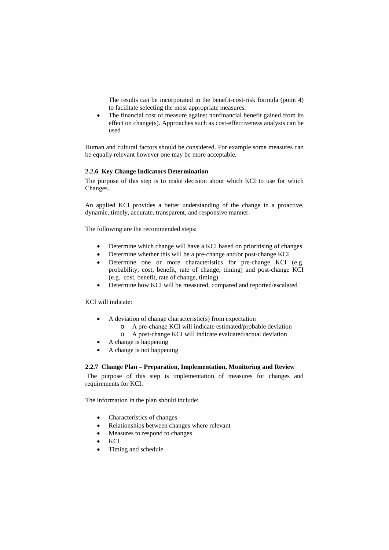The results can be incorporated in the benefit-cost-risk formula (point 4) to facilitate selecting the most appropriate measures.

The financial cost of measure against nonfinancial benefit gained from its effect on change(s). Approaches such as cost-effectiveness analysis can be used

Human and cultural factors should be considered. For example some measures can be equally relevant however one may be more acceptable.

#### **2.2.6 Key Change Indicators Determination**

The purpose of this step is to make decision about which KCI to use for which Changes.

An applied KCI provides a better understanding of the change in a proactive, dynamic, timely, accurate, transparent, and responsive manner.

The following are the recommended steps:

- Determine which change will have a KCI based on prioritising of changes
- Determine whether this will be a pre-change and/or post-change KCI
- Determine one or more characteristics for pre-change KCI (e.g. probability, cost, benefit, rate of change, timing) and post-change KCI (e.g. cost, benefit, rate of change, timing)
- Determine how KCI will be measured, compared and reported/escalated

KCI will indicate:

- A deviation of change characteristic(s) from expectation
	- o A pre-change KCI will indicate estimated/probable deviation
	- o A post-change KCI will indicate evaluated/actual deviation
- A change is happening
- A change is not happening

#### **2.2.7 Change Plan – Preparation, Implementation, Monitoring and Review**

The purpose of this step is implementation of measures for changes and requirements for KCI.

The information in the plan should include:

- Characteristics of changes
- Relationships between changes where relevant
- Measures to respond to changes
- KCI
- Timing and schedule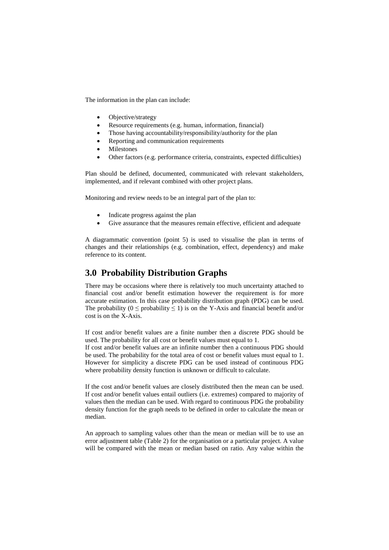The information in the plan can include:

- Objective/strategy
- Resource requirements (e.g. human, information, financial)
- Those having accountability/responsibility/authority for the plan
- Reporting and communication requirements
- **Milestones**
- Other factors (e.g. performance criteria, constraints, expected difficulties)

Plan should be defined, documented, communicated with relevant stakeholders, implemented, and if relevant combined with other project plans.

Monitoring and review needs to be an integral part of the plan to:

- Indicate progress against the plan
- Give assurance that the measures remain effective, efficient and adequate

A diagrammatic convention (point 5) is used to visualise the plan in terms of changes and their relationships (e.g. combination, effect, dependency) and make reference to its content.

### **3.0 Probability Distribution Graphs**

There may be occasions where there is relatively too much uncertainty attached to financial cost and/or benefit estimation however the requirement is for more accurate estimation. In this case probability distribution graph (PDG) can be used. The probability ( $0 \le$  probability  $\le$  1) is on the Y-Axis and financial benefit and/or cost is on the X-Axis.

If cost and/or benefit values are a finite number then a discrete PDG should be used. The probability for all cost or benefit values must equal to 1.

If cost and/or benefit values are an infinite number then a continuous PDG should be used. The probability for the total area of cost or benefit values must equal to 1. However for simplicity a discrete PDG can be used instead of continuous PDG where probability density function is unknown or difficult to calculate.

If the cost and/or benefit values are closely distributed then the mean can be used. If cost and/or benefit values entail outliers (i.e. extremes) compared to majority of values then the median can be used. With regard to continuous PDG the probability density function for the graph needs to be defined in order to calculate the mean or median.

An approach to sampling values other than the mean or median will be to use an error adjustment table (Table 2) for the organisation or a particular project. A value will be compared with the mean or median based on ratio. Any value within the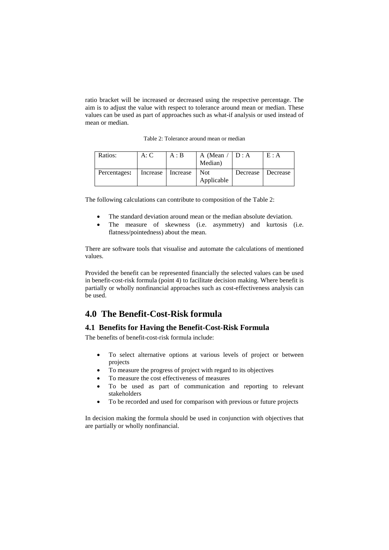ratio bracket will be increased or decreased using the respective percentage. The aim is to adjust the value with respect to tolerance around mean or median. These values can be used as part of approaches such as what-if analysis or used instead of mean or median.

Table 2: Tolerance around mean or median

| Ratios:      | A: C     | A : B    | A (Mean $/$<br>Median)   | D:A      | E : A    |
|--------------|----------|----------|--------------------------|----------|----------|
| Percentages: | Increase | Increase | <b>Not</b><br>Applicable | Decrease | Decrease |

The following calculations can contribute to composition of the Table 2:

- The standard deviation around mean or the median absolute deviation.
- The measure of skewness (i.e. asymmetry) and kurtosis (i.e. flatness/pointedness) about the mean.

There are software tools that visualise and automate the calculations of mentioned values.

Provided the benefit can be represented financially the selected values can be used in benefit-cost-risk formula (point 4) to facilitate decision making. Where benefit is partially or wholly nonfinancial approaches such as cost-effectiveness analysis can be used.

### **4.0 The Benefit-Cost-Risk formula**

#### **4.1 Benefits for Having the Benefit-Cost-Risk Formula**

The benefits of benefit-cost-risk formula include:

- To select alternative options at various levels of project or between projects
- To measure the progress of project with regard to its objectives
- To measure the cost effectiveness of measures
- To be used as part of communication and reporting to relevant stakeholders
- To be recorded and used for comparison with previous or future projects

In decision making the formula should be used in conjunction with objectives that are partially or wholly nonfinancial.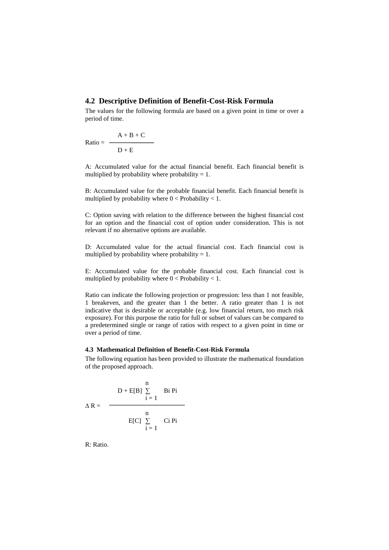#### **4.2 Descriptive Definition of Benefit-Cost-Risk Formula**

The values for the following formula are based on a given point in time or over a period of time.

$$
Ratio = \frac{A + B + C}{D + E}
$$

A: Accumulated value for the actual financial benefit. Each financial benefit is multiplied by probability where probability  $= 1$ .

B: Accumulated value for the probable financial benefit. Each financial benefit is multiplied by probability where  $0 <$  Probability  $< 1$ .

C: Option saving with relation to the difference between the highest financial cost for an option and the financial cost of option under consideration. This is not relevant if no alternative options are available.

D: Accumulated value for the actual financial cost. Each financial cost is multiplied by probability where probability  $= 1$ .

E: Accumulated value for the probable financial cost. Each financial cost is multiplied by probability where  $0 <$  Probability  $< 1$ .

Ratio can indicate the following projection or progression: less than 1 not feasible, 1 breakeven, and the greater than 1 the better. A ratio greater than 1 is not indicative that is desirable or acceptable (e.g. low financial return, too much risk exposure). For this purpose the ratio for full or subset of values can be compared to a predetermined single or range of ratios with respect to a given point in time or over a period of time.

#### **4.3 Mathematical Definition of Benefit-Cost-Risk Formula**

The following equation has been provided to illustrate the mathematical foundation of the proposed approach.

$$
\Delta R = \frac{D + E[B] \sum_{i=1}^{n} B_i P_i}{E[C] \sum_{i=1}^{n} C_i P_i}
$$

R: Ratio.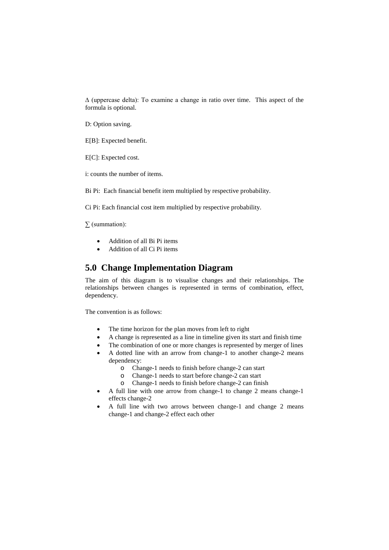∆ (uppercase delta): To examine a change in ratio over time. This aspect of the formula is optional.

D: Option saving.

E[B]: Expected benefit.

E[C]: Expected cost.

i: counts the number of items.

Bi Pi: Each financial benefit item multiplied by respective probability.

Ci Pi: Each financial cost item multiplied by respective probability.

∑ (summation):

- Addition of all Bi Pi items
- Addition of all Ci Pi items

### **5.0 Change Implementation Diagram**

The aim of this diagram is to visualise changes and their relationships. The relationships between changes is represented in terms of combination, effect, dependency.

The convention is as follows:

- The time horizon for the plan moves from left to right
- A change is represented as a line in timeline given its start and finish time
- The combination of one or more changes is represented by merger of lines
- A dotted line with an arrow from change-1 to another change-2 means dependency:
	- o Change-1 needs to finish before change-2 can start
	- o Change-1 needs to start before change-2 can start
	- Change-1 needs to finish before change-2 can finish
- A full line with one arrow from change-1 to change 2 means change-1 effects change-2
- A full line with two arrows between change-1 and change 2 means change-1 and change-2 effect each other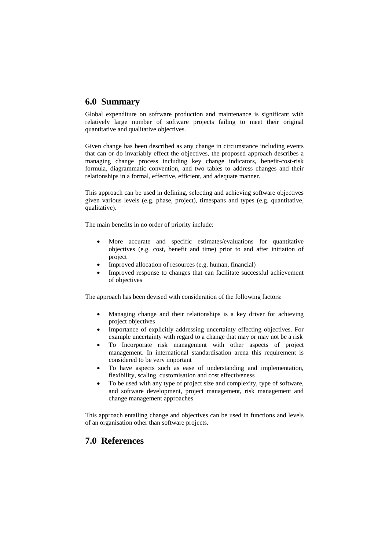## **6.0 Summary**

Global expenditure on software production and maintenance is significant with relatively large number of software projects failing to meet their original quantitative and qualitative objectives.

Given change has been described as any change in circumstance including events that can or do invariably effect the objectives, the proposed approach describes a managing change process including key change indicators, benefit-cost-risk formula, diagrammatic convention, and two tables to address changes and their relationships in a formal, effective, efficient, and adequate manner.

This approach can be used in defining, selecting and achieving software objectives given various levels (e.g. phase, project), timespans and types (e.g. quantitative, qualitative).

The main benefits in no order of priority include:

- More accurate and specific estimates/evaluations for quantitative objectives (e.g. cost, benefit and time) prior to and after initiation of project
- Improved allocation of resources (e.g. human, financial)
- Improved response to changes that can facilitate successful achievement of objectives

The approach has been devised with consideration of the following factors:

- Managing change and their relationships is a key driver for achieving project objectives
- Importance of explicitly addressing uncertainty effecting objectives. For example uncertainty with regard to a change that may or may not be a risk
- To Incorporate risk management with other aspects of project management. In international standardisation arena this requirement is considered to be very important
- To have aspects such as ease of understanding and implementation, flexibility, scaling, customisation and cost effectiveness
- To be used with any type of project size and complexity, type of software, and software development, project management, risk management and change management approaches

This approach entailing change and objectives can be used in functions and levels of an organisation other than software projects.

# **7.0 References**